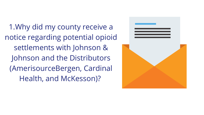1.Why did my county receive a notice regarding potential opioid settlements with Johnson & Johnson and the Distributors (AmerisourceBergen, Cardinal Health, and McKesson)?

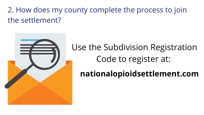### 2. How does my county complete the process to join the settlement?



## Use the Subdivision Registration Code to register at: **nationalopioidsettlement.com**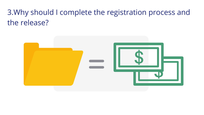### 3. Why should I complete the registration process and the release?

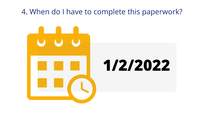# 4. When do I have to complete this paperwork? **1/2/2022**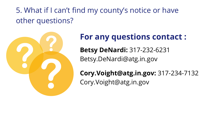## 5. What if I can't find my county's notice or have other questions?



#### **For any questions contact :**

**Betsy DeNardi:** 317-232-6231 Betsy.DeNardi@atg.in.gov

- 
- 
- **Cory.Voight@atg.in.gov:** 317-234-7132

Cory.Voight@atg.in.gov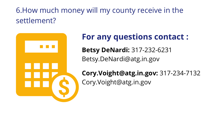### 6.How much money will my county receive in the settlement?

#### **For any questions contact :**



- 
- 
- **Cory.Voight@atg.in.gov:** 317-234-7132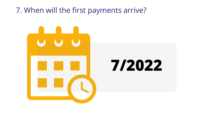#### 7. When will the first payments arrive?





# **7/2022**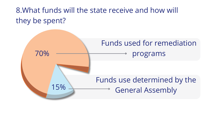#### 8.What funds will the state receive and how will they be spent?



### Funds used for remediation programs

### Funds use determined by the General Assembly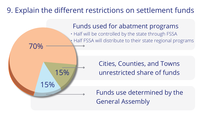Funds use determined by the

#### 9. Explain the different restrictions on settlement funds



Cities, Counties, and Towns unrestricted share of funds

• Half FSSA will distribute to their state regional programs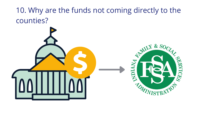## 10. Why are the funds not coming directly to the counties?



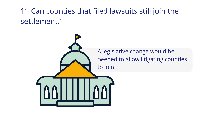### 11.Can counties that filed lawsuits still join the settlement?

#### A legislative change would be needed to allow litigating counties

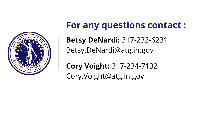

**For any questions contact : Betsy DeNardi:** 317-232-6231 Betsy.DeNardi@atg.in.gov

**Cory Voight:** 317-234-7132 Cory.Voight@atg.in.gov

- 
- 
- 
-